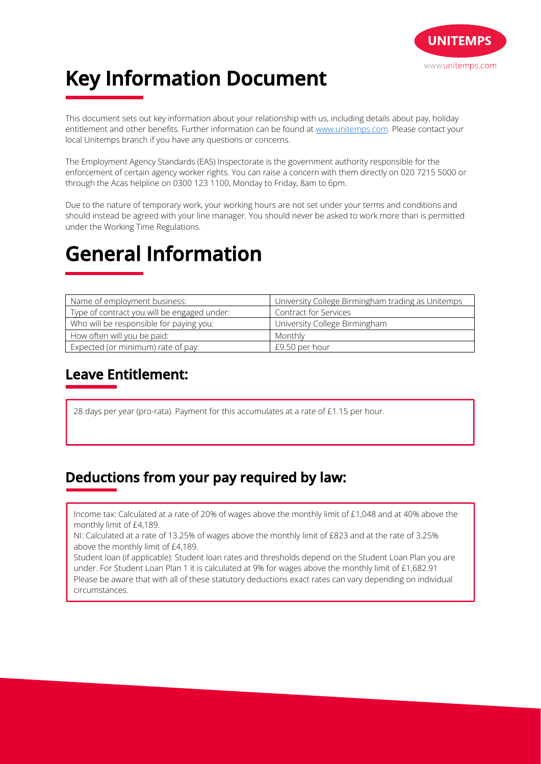

# **Key Information Document**

This document sets out key information about your relationship with us, including details about pay, holiday entitlement and other benefits. Further information can be found at www.unitemps.com. Please contact your local Unitemps branch if you have any questions or concerns.

The Employment Agency Standards (EAS) Inspectorate is the government authority responsible for the enforcement of certain agency worker rights. You can raise a concern with them directly on 020 7215 5000 or through the Acas helpline on 0300 123 1100, Monday to Friday, 8am to 6pm.

Due to the nature of temporary work, your working hours are not set under your terms and conditions and should instead be agreed with your line manager. You should never be asked to work more than is permitted under the Working Time Regulations.

# **General Information**

| Name of employment business:                | University College Birmingham trading as Unitemps |
|---------------------------------------------|---------------------------------------------------|
| Type of contract you will be engaged under: | Contract for Services                             |
| Who will be responsible for paying you:     | University College Birmingham                     |
| How often will you be paid:                 | Monthly                                           |
| Expected (or minimum) rate of pay:          | £9.50 per hour                                    |

## **Leave Entitlement:**

28 days per year (pro-rata). Payment for this accumulates at a rate of £1.15 per hour.

## **Deductions from your pay required by law:**

Income tax: Calculated at a rate of 20% of wages above the monthly limit of £1,048 and at 40% above the monthly limit of £4,189.

NI: Calculated at a rate of 13.25% of wages above the monthly limit of £823 and at the rate of 3.25% above the monthly limit of £4,189.

Student loan (if applicable): Student loan rates and thresholds depend on the Student Loan Plan you are under. For Student Loan Plan 1 it is calculated at 9% for wages above the monthly limit of £1,682.91 Please be aware that with all of these statutory deductions exact rates can vary depending on individual circumstances.